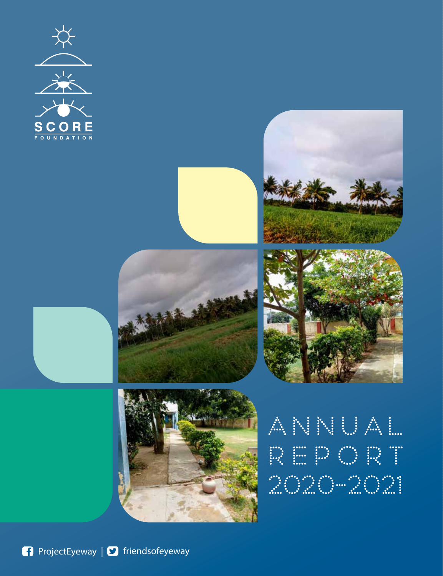











|           |  |  | ANNUAL |  |  |
|-----------|--|--|--------|--|--|
|           |  |  | REPORT |  |  |
| 2020-2021 |  |  |        |  |  |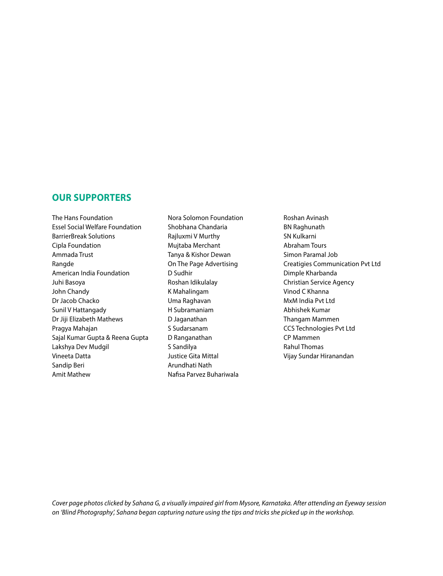### **OUR SUPPORTERS**

The Hans Foundation Essel Social Welfare Foundation BarrierBreak Solutions Cipla Foundation Ammada Trust Rangde American India Foundation Juhi Basoya John Chandy Dr Jacob Chacko Sunil V Hattangady Dr Jiji Elizabeth Mathews Pragya Mahajan Sajal Kumar Gupta & Reena Gupta Lakshya Dev Mudgil Vineeta Datta Sandip Beri Amit Mathew

Nora Solomon Foundation Shobhana Chandaria Rajluxmi V Murthy Mujtaba Merchant Tanya & Kishor Dewan On The Page Advertising D Sudhir Roshan Idikulalay K Mahalingam Uma Raghavan H Subramaniam D Jaganathan S Sudarsanam D Ranganathan S Sandilya Justice Gita Mittal Arundhati Nath Nafisa Parvez Buhariwala

Roshan Avinash BN Raghunath SN Kulkarni Abraham Tours Simon Paramal Job Creatigies Communication Pvt Ltd Dimple Kharbanda Christian Service Agency Vinod C Khanna MxM India Pvt Ltd Abhishek Kumar Thangam Mammen CCS Technologies Pvt Ltd CP Mammen Rahul Thomas Vijay Sundar Hiranandan

*Cover page photos clicked by Sahana G, a visually impaired girl from Mysore, Karnataka. After attending an Eyeway session on 'Blind Photography', Sahana began capturing nature using the tips and tricks she picked up in the workshop.*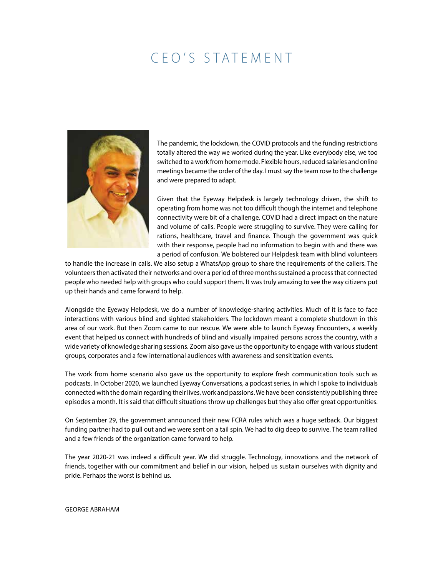# CEO'S STATEMENT



The pandemic, the lockdown, the COVID protocols and the funding restrictions totally altered the way we worked during the year. Like everybody else, we too switched to a work from home mode. Flexible hours, reduced salaries and online meetings became the order of the day. I must say the team rose to the challenge and were prepared to adapt.

Given that the Eyeway Helpdesk is largely technology driven, the shift to operating from home was not too difficult though the internet and telephone connectivity were bit of a challenge. COVID had a direct impact on the nature and volume of calls. People were struggling to survive. They were calling for rations, healthcare, travel and finance. Though the government was quick with their response, people had no information to begin with and there was a period of confusion. We bolstered our Helpdesk team with blind volunteers

to handle the increase in calls. We also setup a WhatsApp group to share the requirements of the callers. The volunteers then activated their networks and over a period of three months sustained a process that connected people who needed help with groups who could support them. It was truly amazing to see the way citizens put up their hands and came forward to help.

Alongside the Eyeway Helpdesk, we do a number of knowledge-sharing activities. Much of it is face to face interactions with various blind and sighted stakeholders. The lockdown meant a complete shutdown in this area of our work. But then Zoom came to our rescue. We were able to launch Eyeway Encounters, a weekly event that helped us connect with hundreds of blind and visually impaired persons across the country, with a wide variety of knowledge sharing sessions. Zoom also gave us the opportunity to engage with various student groups, corporates and a few international audiences with awareness and sensitization events.

The work from home scenario also gave us the opportunity to explore fresh communication tools such as podcasts. In October 2020, we launched Eyeway Conversations, a podcast series, in which I spoke to individuals connected with the domain regarding their lives, work and passions. We have been consistently publishing three episodes a month. It is said that difficult situations throw up challenges but they also offer great opportunities.

On September 29, the government announced their new FCRA rules which was a huge setback. Our biggest funding partner had to pull out and we were sent on a tail spin. We had to dig deep to survive. The team rallied and a few friends of the organization came forward to help.

The year 2020-21 was indeed a difficult year. We did struggle. Technology, innovations and the network of friends, together with our commitment and belief in our vision, helped us sustain ourselves with dignity and pride. Perhaps the worst is behind us.

#### George Abraham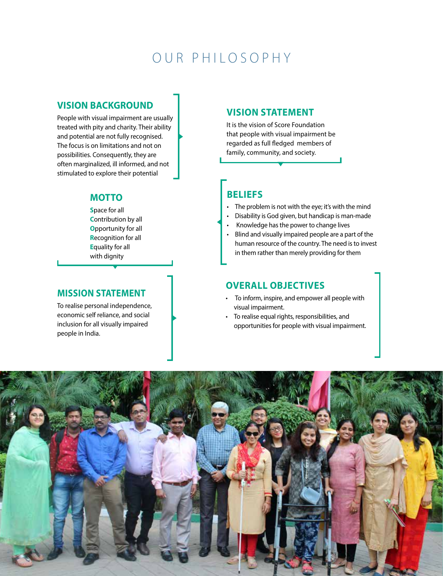# OUR PHILO S OPHY

### **VISION BACKGROUND**

People with visual impairment are usually treated with pity and charity. Their ability and potential are not fully recognised. The focus is on limitations and not on possibilities. Consequently, they are often marginalized, ill informed, and not stimulated to explore their potential

## **MOTTO**

**S**pace for all **C**ontribution by all **O**pportunity for all **R**ecognition for all **E**quality for all with dignity

### **Mission Statement**

To realise personal independence, economic self reliance, and social inclusion for all visually impaired people in India.

### **Vision Statement**

It is the vision of Score Foundation that people with visual impairment be regarded as full fledged members of family, community, and society.

# **Beliefs**

- $\cdot$  The problem is not with the eye; it's with the mind
- Disability is God given, but handicap is man-made
- Knowledge has the power to change lives
- Blind and visually impaired people are a part of the human resource of the country. The need is to invest in them rather than merely providing for them

### **Overall objectives**

- To inform, inspire, and empower all people with visual impairment.
- To realise equal rights, responsibilities, and opportunities for people with visual impairment.

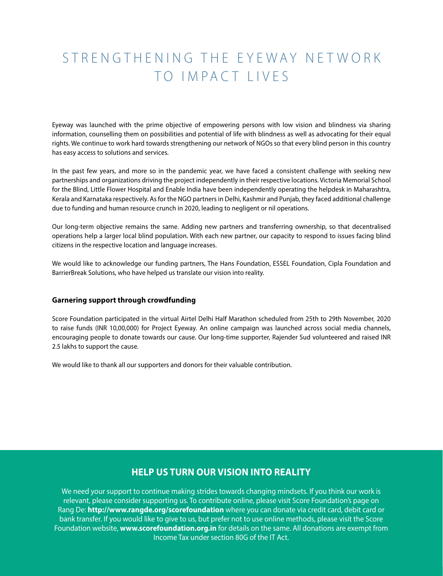# STRENGTHENING THE EYEWAY NETWORK TO IMPACT LIVES

Eyeway was launched with the prime objective of empowering persons with low vision and blindness via sharing information, counselling them on possibilities and potential of life with blindness as well as advocating for their equal rights. We continue to work hard towards strengthening our network of NGOs so that every blind person in this country has easy access to solutions and services.

In the past few years, and more so in the pandemic year, we have faced a consistent challenge with seeking new partnerships and organizations driving the project independently in their respective locations. Victoria Memorial School for the Blind, Little Flower Hospital and Enable India have been independently operating the helpdesk in Maharashtra, Kerala and Karnataka respectively. As for the NGO partners in Delhi, Kashmir and Punjab, they faced additional challenge due to funding and human resource crunch in 2020, leading to negligent or nil operations.

Our long-term objective remains the same. Adding new partners and transferring ownership, so that decentralised operations help a larger local blind population. With each new partner, our capacity to respond to issues facing blind citizens in the respective location and language increases.

We would like to acknowledge our funding partners, The Hans Foundation, ESSEL Foundation, Cipla Foundation and BarrierBreak Solutions, who have helped us translate our vision into reality.

#### **Garnering support through crowdfunding**

Score Foundation participated in the virtual Airtel Delhi Half Marathon scheduled from 25th to 29th November, 2020 to raise funds (INR 10,00,000) for Project Eyeway. An online campaign was launched across social media channels, encouraging people to donate towards our cause. Our long-time supporter, Rajender Sud volunteered and raised INR 2.5 lakhs to support the cause.

We would like to thank all our supporters and donors for their valuable contribution.

## **HELP US TURN OUR VISION INTO REALITY**

We need your support to continue making strides towards changing mindsets. If you think our work is relevant, please consider supporting us. To contribute online, please visit Score Foundation's page on Rang De: **http://www.rangde.org/scorefoundation** where you can donate via credit card, debit card or bank transfer. If you would like to give to us, but prefer not to use online methods, please visit the Score Foundation website, **www.scorefoundation.org.in** for details on the same. All donations are exempt from Income Tax under section 80G of the IT Act.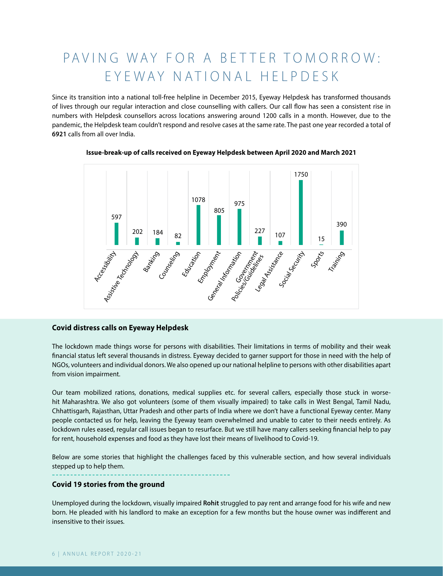# PAVING WAY FOR A BETTER TOMORROW: EYEWAY NATIONAL HELPDESK

Since its transition into a national toll-free helpline in December 2015, Eyeway Helpdesk has transformed thousands of lives through our regular interaction and close counselling with callers. Our call flow has seen a consistent rise in numbers with Helpdesk counsellors across locations answering around 1200 calls in a month. However, due to the pandemic, the Helpdesk team couldn't respond and resolve cases at the same rate. The past one year recorded a total of **6921** calls from all over India.





#### **Covid distress calls on Eyeway Helpdesk**

The lockdown made things worse for persons with disabilities. Their limitations in terms of mobility and their weak financial status left several thousands in distress. Eyeway decided to garner support for those in need with the help of NGOs, volunteers and individual donors. We also opened up our national helpline to persons with other disabilities apart from vision impairment.

Our team mobilized rations, donations, medical supplies etc. for several callers, especially those stuck in worsehit Maharashtra. We also got volunteers (some of them visually impaired) to take calls in West Bengal, Tamil Nadu, Chhattisgarh, Rajasthan, Uttar Pradesh and other parts of India where we don't have a functional Eyeway center. Many people contacted us for help, leaving the Eyeway team overwhelmed and unable to cater to their needs entirely. As lockdown rules eased, regular call issues began to resurface. But we still have many callers seeking financial help to pay for rent, household expenses and food as they have lost their means of livelihood to Covid-19.

Below are some stories that highlight the challenges faced by this vulnerable section, and how several individuals stepped up to help them.

#### **Covid 19 stories from the ground**

Unemployed during the lockdown, visually impaired **Rohit** struggled to pay rent and arrange food for his wife and new born. He pleaded with his landlord to make an exception for a few months but the house owner was indifferent and insensitive to their issues.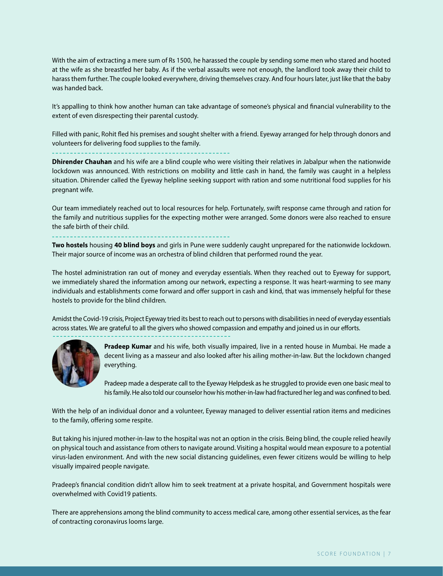With the aim of extracting a mere sum of Rs 1500, he harassed the couple by sending some men who stared and hooted at the wife as she breastfed her baby. As if the verbal assaults were not enough, the landlord took away their child to harass them further. The couple looked everywhere, driving themselves crazy. And four hours later, just like that the baby was handed back.

It's appalling to think how another human can take advantage of someone's physical and financial vulnerability to the extent of even disrespecting their parental custody.

Filled with panic, Rohit fled his premises and sought shelter with a friend. Eyeway arranged for help through donors and volunteers for delivering food supplies to the family.

**Dhirender Chauhan** and his wife are a blind couple who were visiting their relatives in Jabalpur when the nationwide lockdown was announced. With restrictions on mobility and little cash in hand, the family was caught in a helpless situation. Dhirender called the Eyeway helpline seeking support with ration and some nutritional food supplies for his pregnant wife.

Our team immediately reached out to local resources for help. Fortunately, swift response came through and ration for the family and nutritious supplies for the expecting mother were arranged. Some donors were also reached to ensure the safe birth of their child.

**Two hostels** housing **40 blind boys** and girls in Pune were suddenly caught unprepared for the nationwide lockdown. Their major source of income was an orchestra of blind children that performed round the year.

The hostel administration ran out of money and everyday essentials. When they reached out to Eyeway for support, we immediately shared the information among our network, expecting a response. It was heart-warming to see many individuals and establishments come forward and offer support in cash and kind, that was immensely helpful for these hostels to provide for the blind children.

Amidst the Covid-19 crisis, Project Eyeway tried its best to reach out to persons with disabilities in need of everyday essentials across states. We are grateful to all the givers who showed compassion and empathy and joined us in our efforts.



**Pradeep Kumar** and his wife, both visually impaired, live in a rented house in Mumbai. He made a decent living as a masseur and also looked after his ailing mother-in-law. But the lockdown changed everything.

Pradeep made a desperate call to the Eyeway Helpdesk as he struggled to provide even one basic meal to his family. He also told our counselor how his mother-in-law had fractured her leg and was confined to bed.

With the help of an individual donor and a volunteer, Eyeway managed to deliver essential ration items and medicines to the family, offering some respite.

But taking his injured mother-in-law to the hospital was not an option in the crisis. Being blind, the couple relied heavily on physical touch and assistance from others to navigate around. Visiting a hospital would mean exposure to a potential virus-laden environment. And with the new social distancing guidelines, even fewer citizens would be willing to help visually impaired people navigate.

Pradeep's financial condition didn't allow him to seek treatment at a private hospital, and Government hospitals were overwhelmed with Covid19 patients.

There are apprehensions among the blind community to access medical care, among other essential services, as the fear of contracting coronavirus looms large.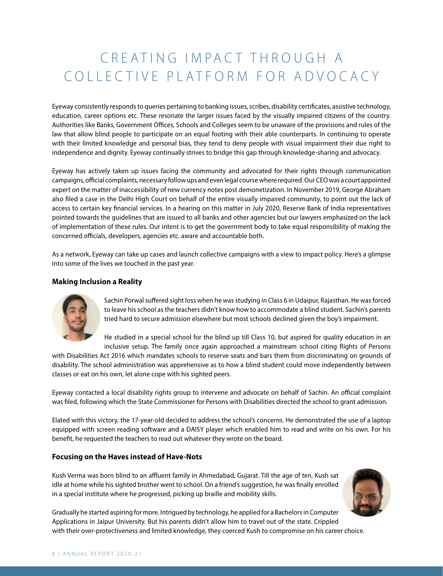# CREATING IMPACT THROUGH A COLLECTIVE PLATFORM FOR ADVOCACY

Eyeway consistently responds to queries pertaining to banking issues, scribes, disability certificates, assistive technology, education, career options etc. These resonate the larger issues faced by the visually impaired citizens of the country. Authorities like Banks, Government Offices, Schools and Colleges seem to be unaware of the provisions and rules of the law that allow blind people to participate on an equal footing with their able counterparts. In continuing to operate with their limited knowledge and personal bias, they tend to deny people with visual impairment their due right to independence and dignity. Eyeway continually strives to bridge this gap through knowledge-sharing and advocacy.

Eyeway has actively taken up issues facing the community and advocated for their rights through communication campaigns, official complaints, necessary follow ups and even legal course where required. Our CEO was a court appointed expert on the matter of inaccessibility of new currency notes post demonetization. In November 2019, George Abraham also filed a case in the Delhi High Court on behalf of the entire visually impaired community, to point out the lack of access to certain key financial services. In a hearing on this matter in July 2020, Reserve Bank of India representatives pointed towards the guidelines that are issued to all banks and other agencies but our lawyers emphasized on the lack of implementation of these rules. Our intent is to get the government body to take equal responsibility of making the concerned officials, developers, agencies etc. aware and accountable both.

As a network, Eyeway can take up cases and launch collective campaigns with a view to impact policy. Here's a glimpse into some of the lives we touched in the past year.

#### **Making Inclusion a Reality**



Sachin Porwal suffered sight loss when he was studying in Class 6 in Udaipur, Rajasthan. He was forced to leave his school as the teachers didn't know how to accommodate a blind student. Sachin's parents tried hard to secure admission elsewhere but most schools declined given the boy's impairment.

He studied in a special school for the blind up till Class 10, but aspired for quality education in an inclusive setup. The family once again approached a mainstream school citing Rights of Persons

with Disabilities Act 2016 which mandates schools to reserve seats and bars them from discriminating on grounds of disability. The school administration was apprehensive as to how a blind student could move independently between classes or eat on his own, let alone cope with his sighted peers.

Eyeway contacted a local disability rights group to intervene and advocate on behalf of Sachin. An official complaint was filed, following which the State Commissioner for Persons with Disabilities directed the school to grant admission.

Elated with this victory, the 17-year-old decided to address the school's concerns. He demonstrated the use of a laptop equipped with screen reading software and a DAISY player which enabled him to read and write on his own. For his benefit, he requested the teachers to read out whatever they wrote on the board.

#### **Focusing on the Haves instead of Have-Nots**

Kush Verma was born blind to an affluent family in Ahmedabad, Gujarat. Till the age of ten, Kush sat idle at home while his sighted brother went to school. On a friend's suggestion, he was finally enrolled in a special institute where he progressed, picking up braille and mobility skills.



Gradually he started aspiring for more. Intrigued by technology, he applied for a Bachelors in Computer Applications in Jaipur University. But his parents didn't allow him to travel out of the state. Crippled with their over-protectiveness and limited knowledge, they coerced Kush to compromise on his career choice.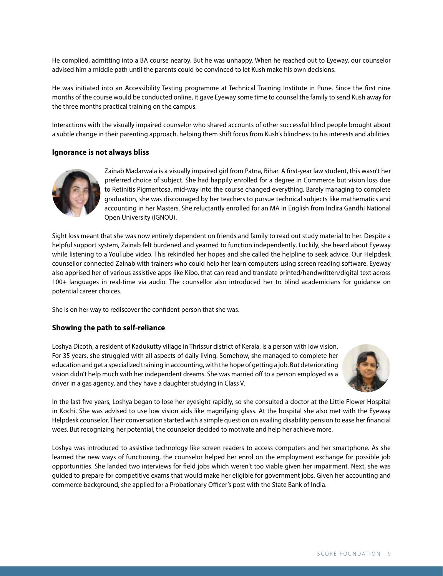He complied, admitting into a BA course nearby. But he was unhappy. When he reached out to Eyeway, our counselor advised him a middle path until the parents could be convinced to let Kush make his own decisions.

He was initiated into an Accessibility Testing programme at Technical Training Institute in Pune. Since the first nine months of the course would be conducted online, it gave Eyeway some time to counsel the family to send Kush away for the three months practical training on the campus.

Interactions with the visually impaired counselor who shared accounts of other successful blind people brought about a subtle change in their parenting approach, helping them shift focus from Kush's blindness to his interests and abilities.

#### **Ignorance is not always bliss**



Zainab Madarwala is a visually impaired girl from Patna, Bihar. A first-year law student, this wasn't her preferred choice of subject. She had happily enrolled for a degree in Commerce but vision loss due to Retinitis Pigmentosa, mid-way into the course changed everything. Barely managing to complete graduation, she was discouraged by her teachers to pursue technical subjects like mathematics and accounting in her Masters. She reluctantly enrolled for an MA in English from Indira Gandhi National Open University (IGNOU).

Sight loss meant that she was now entirely dependent on friends and family to read out study material to her. Despite a helpful support system, Zainab felt burdened and yearned to function independently. Luckily, she heard about Eyeway while listening to a YouTube video. This rekindled her hopes and she called the helpline to seek advice. Our Helpdesk counsellor connected Zainab with trainers who could help her learn computers using screen reading software. Eyeway also apprised her of various assistive apps like Kibo, that can read and translate printed/handwritten/digital text across 100+ languages in real-time via audio. The counsellor also introduced her to blind academicians for guidance on potential career choices.

She is on her way to rediscover the confident person that she was.

#### **Showing the path to self-reliance**

Loshya Dicoth, a resident of Kadukutty village in Thrissur district of Kerala, is a person with low vision. For 35 years, she struggled with all aspects of daily living. Somehow, she managed to complete her education and get a specialized training in accounting, with the hope of getting a job. But deteriorating vision didn't help much with her independent dreams. She was married off to a person employed as a driver in a gas agency, and they have a daughter studying in Class V.



In the last five years, Loshya began to lose her eyesight rapidly, so she consulted a doctor at the Little Flower Hospital in Kochi. She was advised to use low vision aids like magnifying glass. At the hospital she also met with the Eyeway Helpdesk counselor. Their conversation started with a simple question on availing disability pension to ease her financial woes. But recognizing her potential, the counselor decided to motivate and help her achieve more.

Loshya was introduced to assistive technology like screen readers to access computers and her smartphone. As she learned the new ways of functioning, the counselor helped her enrol on the employment exchange for possible job opportunities. She landed two interviews for field jobs which weren't too viable given her impairment. Next, she was guided to prepare for competitive exams that would make her eligible for government jobs. Given her accounting and commerce background, she applied for a Probationary Officer's post with the State Bank of India.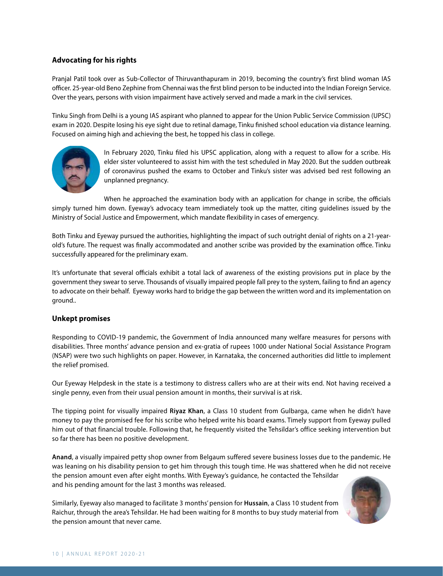#### **Advocating for his rights**

Pranjal Patil took over as Sub-Collector of Thiruvanthapuram in 2019, becoming the country's first blind woman IAS officer. 25-year-old Beno Zephine from Chennai was the first blind person to be inducted into the Indian Foreign Service. Over the years, persons with vision impairment have actively served and made a mark in the civil services.

Tinku Singh from Delhi is a young IAS aspirant who planned to appear for the Union Public Service Commission (UPSC) exam in 2020. Despite losing his eye sight due to retinal damage, Tinku finished school education via distance learning. Focused on aiming high and achieving the best, he topped his class in college.



In February 2020, Tinku filed his UPSC application, along with a request to allow for a scribe. His elder sister volunteered to assist him with the test scheduled in May 2020. But the sudden outbreak of coronavirus pushed the exams to October and Tinku's sister was advised bed rest following an unplanned pregnancy.

When he approached the examination body with an application for change in scribe, the officials simply turned him down. Eyeway's advocacy team immediately took up the matter, citing guidelines issued by the Ministry of Social Justice and Empowerment, which mandate flexibility in cases of emergency.

Both Tinku and Eyeway pursued the authorities, highlighting the impact of such outright denial of rights on a 21-yearold's future. The request was finally accommodated and another scribe was provided by the examination office. Tinku successfully appeared for the preliminary exam.

It's unfortunate that several officials exhibit a total lack of awareness of the existing provisions put in place by the government they swear to serve. Thousands of visually impaired people fall prey to the system, failing to find an agency to advocate on their behalf. Eyeway works hard to bridge the gap between the written word and its implementation on ground..

#### **Unkept promises**

Responding to COVID-19 pandemic, the Government of India announced many welfare measures for persons with disabilities. Three months' advance pension and ex-gratia of rupees 1000 under National Social Assistance Program (NSAP) were two such highlights on paper. However, in Karnataka, the concerned authorities did little to implement the relief promised.

Our Eyeway Helpdesk in the state is a testimony to distress callers who are at their wits end. Not having received a single penny, even from their usual pension amount in months, their survival is at risk.

The tipping point for visually impaired **Riyaz Khan**, a Class 10 student from Gulbarga, came when he didn't have money to pay the promised fee for his scribe who helped write his board exams. Timely support from Eyeway pulled him out of that financial trouble. Following that, he frequently visited the Tehsildar's office seeking intervention but so far there has been no positive development.

**Anand**, a visually impaired petty shop owner from Belgaum suffered severe business losses due to the pandemic. He was leaning on his disability pension to get him through this tough time. He was shattered when he did not receive the pension amount even after eight months. With Eyeway's guidance, he contacted the Tehsildar and his pending amount for the last 3 months was released.

Similarly, Eyeway also managed to facilitate 3 months' pension for **Hussain**, a Class 10 student from Raichur, through the area's Tehsildar. He had been waiting for 8 months to buy study material from the pension amount that never came.

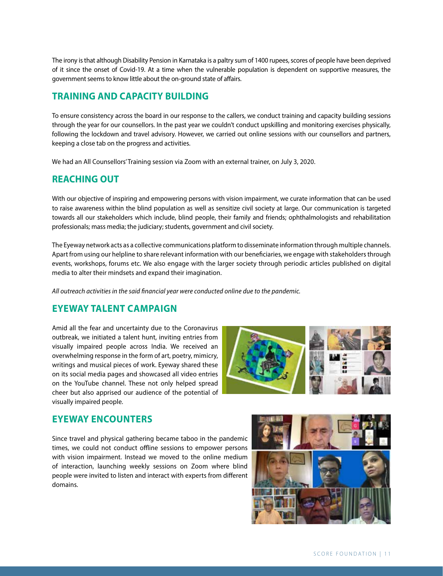The irony is that although Disability Pension in Karnataka is a paltry sum of 1400 rupees, scores of people have been deprived of it since the onset of Covid-19. At a time when the vulnerable population is dependent on supportive measures, the government seems to know little about the on-ground state of affairs.

# **TRAINING AND CAPACITY BUILDING**

To ensure consistency across the board in our response to the callers, we conduct training and capacity building sessions through the year for our counsellors. In the past year we couldn't conduct upskilling and monitoring exercises physically, following the lockdown and travel advisory. However, we carried out online sessions with our counsellors and partners, keeping a close tab on the progress and activities.

We had an All Counsellors'Training session via Zoom with an external trainer, on July 3, 2020.

## **REACHING OUT**

With our objective of inspiring and empowering persons with vision impairment, we curate information that can be used to raise awareness within the blind population as well as sensitize civil society at large. Our communication is targeted towards all our stakeholders which include, blind people, their family and friends; ophthalmologists and rehabilitation professionals; mass media; the judiciary; students, government and civil society.

The Eyeway network acts as a collective communications platform to disseminate information through multiple channels. Apart from using our helpline to share relevant information with our beneficiaries, we engage with stakeholders through events, workshops, forums etc. We also engage with the larger society through periodic articles published on digital media to alter their mindsets and expand their imagination.

*All outreach activities in the said financial year were conducted online due to the pandemic.*

# **Eyeway Talent campaign**

Amid all the fear and uncertainty due to the Coronavirus outbreak, we initiated a talent hunt, inviting entries from visually impaired people across India. We received an overwhelming response in the form of art, poetry, mimicry, writings and musical pieces of work. Eyeway shared these on its social media pages and showcased all video entries on the YouTube channel. These not only helped spread cheer but also apprised our audience of the potential of visually impaired people.



## **Eyeway Encounters**

Since travel and physical gathering became taboo in the pandemic times, we could not conduct offline sessions to empower persons with vision impairment. Instead we moved to the online medium of interaction, launching weekly sessions on Zoom where blind people were invited to listen and interact with experts from different domains.

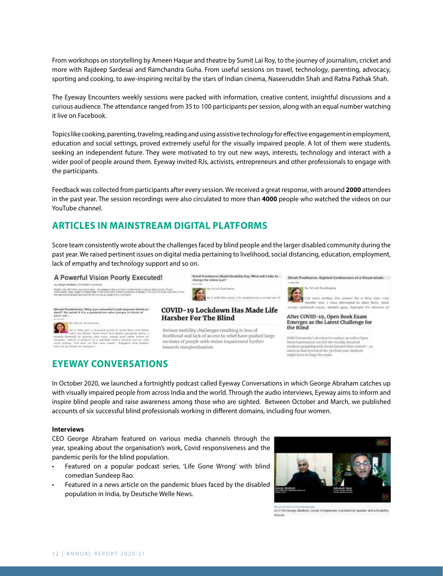From workshops on storytelling by Ameen Haque and theatre by Sumit Lai Roy, to the journey of journalism, cricket and more with Rajdeep Sardesai and Ramchandra Guha. From useful sessions on travel, technology, parenting, advocacy, sporting and cooking, to awe-inspiring recital by the stars of Indian cinema, Naseeruddin Shah and Ratna Pathak Shah.

The Eyeway Encounters weekly sessions were packed with information, creative content, insightful discussions and a curious audience. The attendance ranged from 35 to 100 participants per session, along with an equal number watching it live on Facebook.

Topics like cooking, parenting, traveling, reading and using assistive technology for effective engagement in employment, education and social settings, proved extremely useful for the visually impaired people. A lot of them were students, seeking an independent future. They were motivated to try out new ways, interests, technology and interact with a wider pool of people around them. Eyeway invited RJs, activists, entrepreneurs and other professionals to engage with the participants.

Feedback was collected from participants after every session. We received a great response, with around **2000** attendees in the past year. The session recordings were also circulated to more than **4000** people who watched the videos on our YouTube channel.

# **Articles in mainstream digital platforms**

Score team consistently wrote about the challenges faced by blind people and the larger disabled community during the past year. We raised pertinent issues on digital media pertaining to livelihood, social distancing, education, employment, lack of empathy and technology support and so on.

COVID-19 Lockdown Has Made Life

livelihood and lack of access to relief have pushed large

Serious mobility challenges resulting in loss of

sections of people with vision impairment further

**Harsher For The Blind** 

towards marginalisation.

#### A Powerful Vision Poorly Executed!



. gancerag 10)<br>Pri Kilium viki 10ys. boo

## **Eyeway Conversations**





've been writing this column for a little over it pointies dow I have attempted to state facty. Willie of issues, identify gaps, highlight the ab

#### After COVID-19, Open Book Exam Emerges as the Latest Challenge for the Blind

Delhi University's decision to conduct an online Open<br>Book Examination has left the visually impaired stodents grappling with issues beyond their rontrol - so much so that several of the 350 final year students. might have to forge the ex

In October 2020, we launched a fortnightly podcast called Eyeway Conversations in which George Abraham catches up with visually impaired people from across India and the world. Through the audio interviews, Eyeway aims to inform and inspire blind people and raise awareness among those who are sighted. Between October and March, we published accounts of six successful blind professionals working in different domains, including four women.

#### **Interviews**

CEO George Abraham featured on various media channels through the year, speaking about the organisation's work, Covid responsiveness and the pandemic perils for the blind population.

- Featured on a popular podcast series, 'Life Gone Wrong' with blind comedian Sundeep Rao.
- Featured in a news article on the pandemic blues faced by the disabled population in India, by Deutsche Welle News.



52 E168 George Abraham, Social Entrepreneur, Inspirational Speaker and a Dinability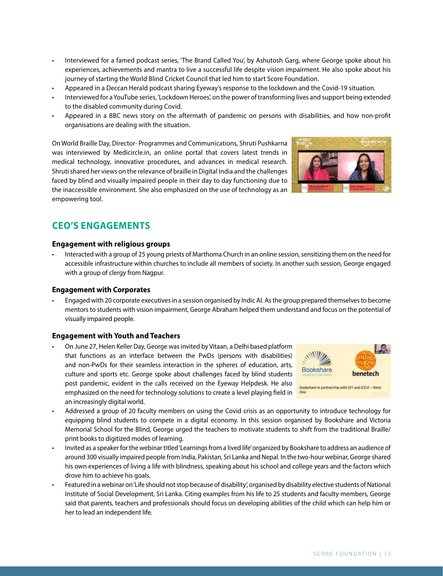- Interviewed for a famed podcast series, 'The Brand Called You', by Ashutosh Garg, where George spoke about his experiences, achievements and mantra to live a successful life despite vision impairment. He also spoke about his journey of starting the World Blind Cricket Council that led him to start Score Foundation.
- Appeared in a Deccan Herald podcast sharing Eyeway's response to the lockdown and the Covid-19 situation.
- Interviewed for a YouTube series, 'Lockdown Heroes', on the power of transforming lives and support being extended to the disabled community during Covid.
- • Appeared in a BBC news story on the aftermath of pandemic on persons with disabilities, and how non-profit organisations are dealing with the situation.

On World Braille Day, Director- Programmes and Communications, Shruti Pushkarna was interviewed by Medicircle.in, an online portal that covers latest trends in medical technology, innovative procedures, and advances in medical research. Shruti shared her views on the relevance of braille in Digital India and the challenges faced by blind and visually impaired people in their day to day functioning due to the inaccessible environment. She also emphasized on the use of technology as an empowering tool.

# **CEO'S ENGAGEMENTS**

#### **Engagement with religious groups**

Interacted with a group of 25 young priests of Marthoma Church in an online session, sensitizing them on the need for accessible infrastructure within churches to include all members of society. In another such session, George engaged with a group of clergy from Nagpur.

#### **Engagement with Corporates**

Engaged with 20 corporate executives in a session organised by Indic AI. As the group prepared themselves to become mentors to students with vision impairment, George Abraham helped them understand and focus on the potential of visually impaired people.

#### **Engagement with Youth and Teachers**

- On June 27, Helen Keller Day, George was invited by Vitaan, a Delhi based platform that functions as an interface between the PwDs (persons with disabilities) and non-PwDs for their seamless interaction in the spheres of education, arts, culture and sports etc. George spoke about challenges faced by blind students post pandemic, evident in the calls received on the Eyeway Helpdesk. He also emphasized on the need for technology solutions to create a level playing field in an increasingly digital world.
- Addressed a group of 20 faculty members on using the Covid crisis as an opportunity to introduce technology for equipping blind students to compete in a digital economy. In this session organised by Bookshare and Victoria Memorial School for the Blind, George urged the teachers to motivate students to shift from the traditional Braille/ print books to digitized modes of learning.
- Invited as a speaker for the webinar titled 'Learnings from a lived life' organized by Bookshare to address an audience of around 300 visually impaired people from India, Pakistan, Sri Lanka and Nepal. In the two-hour webinar, George shared his own experiences of living a life with blindness, speaking about his school and college years and the factors which drove him to achieve his goals.
- Featured in a webinar on 'Life should not stop because of disability', organised by disability elective students of National Institute of Social Development, Sri Lanka. Citing examples from his life to 25 students and faculty members, George said that parents, teachers and professionals should focus on developing abilities of the child which can help him or her to lead an independent life.



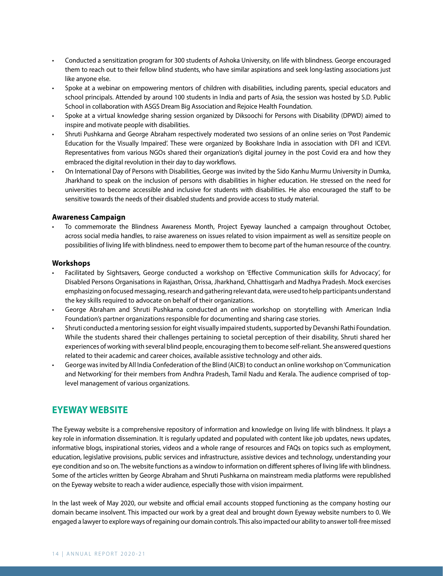- • Conducted a sensitization program for 300 students of Ashoka University, on life with blindness. George encouraged them to reach out to their fellow blind students, who have similar aspirations and seek long-lasting associations just like anyone else.
- Spoke at a webinar on empowering mentors of children with disabilities, including parents, special educators and school principals. Attended by around 100 students in India and parts of Asia, the session was hosted by S.D. Public School in collaboration with ASGS Dream Big Association and Rejoice Health Foundation.
- • Spoke at a virtual knowledge sharing session organized by Diksoochi for Persons with Disability (DPWD) aimed to inspire and motivate people with disabilities.
- Shruti Pushkarna and George Abraham respectively moderated two sessions of an online series on 'Post Pandemic Education for the Visually Impaired'. These were organized by Bookshare India in association with DFI and ICEVI. Representatives from various NGOs shared their organization's digital journey in the post Covid era and how they embraced the digital revolution in their day to day workflows.
- On International Day of Persons with Disabilities, George was invited by the Sido Kanhu Murmu University in Dumka, Jharkhand to speak on the inclusion of persons with disabilities in higher education. He stressed on the need for universities to become accessible and inclusive for students with disabilities. He also encouraged the staff to be sensitive towards the needs of their disabled students and provide access to study material.

#### **Awareness Campaign**

To commemorate the Blindness Awareness Month, Project Eyeway launched a campaign throughout October, across social media handles, to raise awareness on issues related to vision impairment as well as sensitize people on possibilities of living life with blindness. need to empower them to become part of the human resource of the country.

#### **Workshops**

- Facilitated by Sightsavers, George conducted a workshop on 'Effective Communication skills for Advocacy', for Disabled Persons Organisations in Rajasthan, Orissa, Jharkhand, Chhattisgarh and Madhya Pradesh. Mock exercises emphasizing on focused messaging, research and gathering relevant data, were used to help participants understand the key skills required to advocate on behalf of their organizations.
- George Abraham and Shruti Pushkarna conducted an online workshop on storytelling with American India Foundation's partner organizations responsible for documenting and sharing case stories.
- Shruti conducted a mentoring session for eight visually impaired students, supported by Devanshi Rathi Foundation. While the students shared their challenges pertaining to societal perception of their disability, Shruti shared her experiences of working with several blind people, encouraging them to become self-reliant. She answered questions related to their academic and career choices, available assistive technology and other aids.
- George was invited by All India Confederation of the Blind (AICB) to conduct an online workshop on 'Communication and Networking' for their members from Andhra Pradesh, Tamil Nadu and Kerala. The audience comprised of toplevel management of various organizations.

### **EYEWAY WEBSITE**

The Eyeway website is a comprehensive repository of information and knowledge on living life with blindness. It plays a key role in information dissemination. It is regularly updated and populated with content like job updates, news updates, informative blogs, inspirational stories, videos and a whole range of resources and FAQs on topics such as employment, education, legislative provisions, public services and infrastructure, assistive devices and technology, understanding your eye condition and so on. The website functions as a window to information on different spheres of living life with blindness. Some of the articles written by George Abraham and Shruti Pushkarna on mainstream media platforms were republished on the Eyeway website to reach a wider audience, especially those with vision impairment.

In the last week of May 2020, our website and official email accounts stopped functioning as the company hosting our domain became insolvent. This impacted our work by a great deal and brought down Eyeway website numbers to 0. We engaged a lawyer to explore ways of regaining our domain controls. This also impacted our ability to answer toll-free missed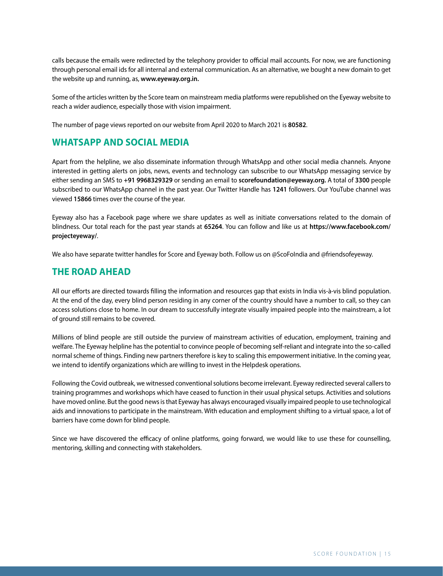calls because the emails were redirected by the telephony provider to official mail accounts. For now, we are functioning through personal email ids for all internal and external communication. As an alternative, we bought a new domain to get the website up and running, as, **www.eyeway.org.in.**

Some of the articles written by the Score team on mainstream media platforms were republished on the Eyeway website to reach a wider audience, especially those with vision impairment.

The number of page views reported on our website from April 2020 to March 2021 is **80582**.

### **WHATSAPP AND SOCIAL MEDIA**

Apart from the helpline, we also disseminate information through WhatsApp and other social media channels. Anyone interested in getting alerts on jobs, news, events and technology can subscribe to our WhatsApp messaging service by either sending an SMS to **+91 9968329329** or sending an email to **scorefoundation@eyeway.org.** A total of **3300** people subscribed to our WhatsApp channel in the past year. Our Twitter Handle has **1241** followers. Our YouTube channel was viewed **15866** times over the course of the year.

Eyeway also has a Facebook page where we share updates as well as initiate conversations related to the domain of blindness. Our total reach for the past year stands at **65264**. You can follow and like us at **https://www.facebook.com/ projecteyeway/**.

We also have separate twitter handles for Score and Eyeway both. Follow us on @ScoFoIndia and @friendsofeyeway.

### **THE ROAD AHEAD**

All our efforts are directed towards filling the information and resources gap that exists in India vis-à-vis blind population. At the end of the day, every blind person residing in any corner of the country should have a number to call, so they can access solutions close to home. In our dream to successfully integrate visually impaired people into the mainstream, a lot of ground still remains to be covered.

Millions of blind people are still outside the purview of mainstream activities of education, employment, training and welfare. The Eyeway helpline has the potential to convince people of becoming self-reliant and integrate into the so-called normal scheme of things. Finding new partners therefore is key to scaling this empowerment initiative. In the coming year, we intend to identify organizations which are willing to invest in the Helpdesk operations.

Following the Covid outbreak, we witnessed conventional solutions become irrelevant. Eyeway redirected several callers to training programmes and workshops which have ceased to function in their usual physical setups. Activities and solutions have moved online. But the good news is that Eyeway has always encouraged visually impaired people to use technological aids and innovations to participate in the mainstream. With education and employment shifting to a virtual space, a lot of barriers have come down for blind people.

Since we have discovered the efficacy of online platforms, going forward, we would like to use these for counselling, mentoring, skilling and connecting with stakeholders.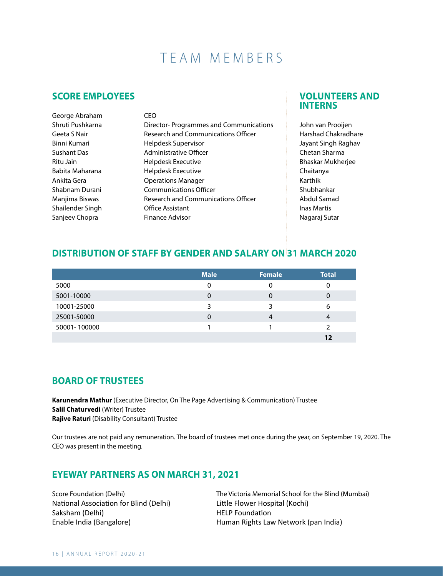# TEAM MEMBERS

### **SCORE EMPLOYEES**

| George Abraham      | CEO                                        |
|---------------------|--------------------------------------------|
| Shruti Pushkarna    | Director-Programmes and Communications     |
| Geeta S Nair        | <b>Research and Communications Officer</b> |
| <b>Binni Kumari</b> | Helpdesk Supervisor                        |
| <b>Sushant Das</b>  | Administrative Officer                     |
| Ritu Jain           | Helpdesk Executive                         |
| Babita Maharana     | Helpdesk Executive                         |
| Ankita Gera         | <b>Operations Manager</b>                  |
| Shabnam Durani      | <b>Communications Officer</b>              |
| Manjima Biswas      | <b>Research and Communications Officer</b> |
| Shailender Singh    | <b>Office Assistant</b>                    |
| Sanjeev Chopra      | <b>Finance Advisor</b>                     |

### **VOLUNTEERS AND INTERNS**

John van Prooijen Harshad Chakradhare Jayant Singh Raghav Chetan Sharma Bhaskar Mukherjee Chaitanya Karthik Shubhankar Abdul Samad Inas Martis Nagaraj Sutar

## **DISTRIBUTION OF STAFF BY GENDER AND SALARY ON 31 MARCH 2020**

|              | <b>Male</b> | <b>Female</b> | Total |
|--------------|-------------|---------------|-------|
| 5000         | 0           |               |       |
| 5001-10000   | 0           | 0             | 0     |
| 10001-25000  | 3           | ર             | 6     |
| 25001-50000  | 0           |               |       |
| 50001-100000 |             |               |       |
|              |             |               | 1 フ   |

## **BOARD OF TRUSTEES**

**Karunendra Mathur** (Executive Director, On The Page Advertising & Communication) Trustee **Salil Chaturvedi** (Writer) Trustee **Rajive Raturi** (Disability Consultant) Trustee

Our trustees are not paid any remuneration. The board of trustees met once during the year, on September 19, 2020. The CEO was present in the meeting.

### **EYEWAY PARTNERS AS ON MARCH 31, 2021**

National Association for Blind (Delhi) Little Flower Hospital (Kochi) Saksham (Delhi) **HELP** Foundation

Score Foundation (Delhi) The Victoria Memorial School for the Blind (Mumbai) Enable India (Bangalore) Human Rights Law Network (pan India)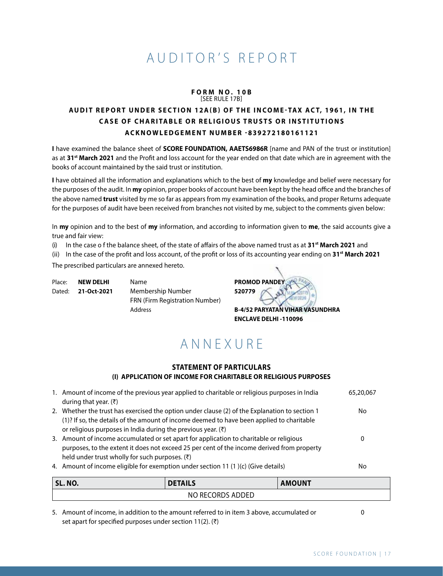# AUDITOR'S REPORT

#### **f orm n o . 10b** [See rule 17B]

## **Audi t report under se c t i o n 12A(b) o f the In come - tax Ac t, 1961, in the** *CASE OF CHARITABLE OR RELIGIOUS TRUSTS OR INSTITUTIONS* **Ackn ow l edgement Num ber -839272180161121**

**I** have examined the balance sheet of **SCORE FOUNDATION, AAETS6986R** [name and PAN of the trust or institution] as at **31st March 2021** and the Profit and loss account for the year ended on that date which are in agreement with the books of account maintained by the said trust or institution.

**I** have obtained all the information and explanations which to the best of **my** knowledge and belief were necessary for the purposes of the audit. In **my** opinion, proper books of account have been kept by the head office and the branches of the above named **trust** visited by me so far as appears from my examination of the books, and proper Returns adequate for the purposes of audit have been received from branches not visited by me, subject to the comments given below:

In **my** opinion and to the best of **my** information, and according to information given to **me**, the said accounts give a true and fair view:

(i) In the case o f the balance sheet, of the state of affairs of the above named trust as at **31st March 2021** and

(ii) In the case of the profit and loss account, of the profit or loss of its accounting year ending on **31st March 2021**

The prescribed particulars are annexed hereto.

| Place: | <b>NEW DELHI</b> | <b>Name</b>                           | <b>PROMO</b> |
|--------|------------------|---------------------------------------|--------------|
| Dated: | 21-Oct-2021      | Membership Number                     | 520779       |
|        |                  | <b>FRN (Firm Registration Number)</b> |              |
|        |                  | <b>Address</b>                        | $B-4/52$     |

Place: **NEW DELHI** Name **PROMOD PANDEY** Address **B-4/52 PARYATAN VIHAR VASUNDHRA**

**ENCLAVE DELHI -110096** 

# **ANNFXURF**

#### **STATEMENT OF PARTICULARS (I) APPLICATION OF INCOME FOR CHARITABLE OR RELIGIOUS PURPOSES**

| 1. Amount of income of the previous year applied to charitable or religious purposes in India<br>during that year. $(3)$                                                                                                                                      | 65,20,067 |
|---------------------------------------------------------------------------------------------------------------------------------------------------------------------------------------------------------------------------------------------------------------|-----------|
| 2. Whether the trust has exercised the option under clause (2) of the Explanation to section 1<br>(1)? If so, the details of the amount of income deemed to have been applied to charitable<br>or religious purposes in India during the previous year. $(3)$ | No.       |
| 3. Amount of income accumulated or set apart for application to charitable or religious<br>purposes, to the extent it does not exceed 25 per cent of the income derived from property<br>held under trust wholly for such purposes. $(\bar{\tau})$            | 0         |
| 4. Amount of income eligible for exemption under section 11 (1)(c) (Give details)                                                                                                                                                                             | No        |

| SL. NO. | <b>DETAILS</b>   | <b>AMOUNT</b> |
|---------|------------------|---------------|
|         | NO RECORDS ADDED |               |

5. Amount of income, in addition to the amount referred to in item 3 above, accumulated or set apart for specified purposes under section 11(2). (₹)

0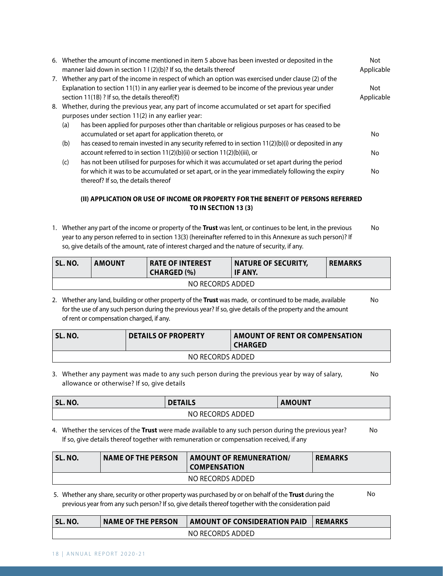|     | 6. Whether the amount of income mentioned in item 5 above has been invested or deposited in the<br>manner laid down in section 1 $(2)(b)$ ? If so, the details thereof | Not<br>Applicable |
|-----|------------------------------------------------------------------------------------------------------------------------------------------------------------------------|-------------------|
|     | 7. Whether any part of the income in respect of which an option was exercised under clause (2) of the                                                                  |                   |
|     | Explanation to section 11(1) in any earlier year is deemed to be income of the previous year under<br>section 11(1B)? If so, the details thereof( $\bar{z}$ )          | Not<br>Applicable |
|     | 8. Whether, during the previous year, any part of income accumulated or set apart for specified                                                                        |                   |
|     | purposes under section 11(2) in any earlier year:                                                                                                                      |                   |
| (a) | has been applied for purposes other than charitable or religious purposes or has ceased to be                                                                          |                   |
|     | accumulated or set apart for application thereto, or                                                                                                                   | No                |
| (b) | has ceased to remain invested in any security referred to in section 11(2)(b)(i) or deposited in any                                                                   |                   |
|     | account referred to in section 11(2)(b)(ii) or section 11(2)(b)(iii), or                                                                                               | No                |
| (c) | has not been utilised for purposes for which it was accumulated or set apart during the period                                                                         |                   |
|     | for which it was to be accumulated or set apart, or in the year immediately following the expiry                                                                       | No                |
|     | thereof? If so, the details thereof                                                                                                                                    |                   |

#### **(II) APPLICATION OR USE OF INCOME OR PROPERTY FOR THE BENEFIT OF PERSONS REFERRED TO IN SECTION 13 (3)**

1. Whether any part of the income or property of the **Trust** was lent, or continues to be lent, in the previous year to any person referred to in section 13(3) (hereinafter referred to in this Annexure as such person)? If so, give details of the amount, rate of interest charged and the nature of security, if any. No

| ' SL. NO.        | <b>AMOUNT</b> | <b>RATE OF INTEREST</b><br><b>CHARGED (%)</b> | <b>NATURE OF SECURITY,</b><br><b>IF ANY.</b> | <b>REMARKS</b> |  |
|------------------|---------------|-----------------------------------------------|----------------------------------------------|----------------|--|
| NO RECORDS ADDED |               |                                               |                                              |                |  |

2. Whether any land, building or other property of the **Trust** was made, or continued to be made, available for the use of any such person during the previous year? If so, give details of the property and the amount of rent or compensation charged, if any. No

| SL. NO.          | <b>DETAILS OF PROPERTY</b> | AMOUNT OF RENT OR COMPENSATION<br><b>CHARGED</b> |  |  |
|------------------|----------------------------|--------------------------------------------------|--|--|
| NO RECORDS ADDED |                            |                                                  |  |  |

3. Whether any payment was made to any such person during the previous year by way of salary, allowance or otherwise? If so, give details No

| SL. NO. | <b>DETAILS</b>   | <b>AMOUNT</b> |
|---------|------------------|---------------|
|         | NO RECORDS ADDED |               |

4. Whether the services of the **Trust** were made available to any such person during the previous year? If so, give details thereof together with remuneration or compensation received, if any No

| SL. NO. | <b>NAME OF THE PERSON</b> | <b>AMOUNT OF REMUNERATION/</b><br><b>COMPENSATION</b> | <b>REMARKS</b> |
|---------|---------------------------|-------------------------------------------------------|----------------|
|         |                           |                                                       |                |

No

 5. Whether any share, security or other property was purchased by or on behalf of the **Trust** during the previous year from any such person? If so, give details thereof together with the consideration paid

| <b>SL. NO.</b> | <b>NAME OF THE PERSON</b> | AMOUNT OF CONSIDERATION PAID | <b>REMARKS</b> |
|----------------|---------------------------|------------------------------|----------------|
|                |                           | NO RECORDS ADDED             |                |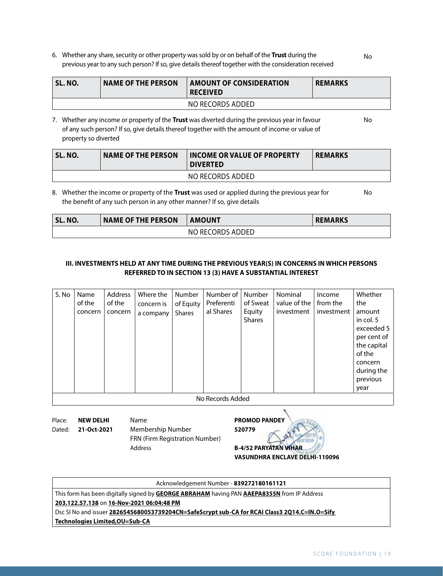6. Whether any share, security or other property was sold by or on behalf of the **Trust** during the previous year to any such person? If so, give details thereof together with the consideration received

| ' SL. NO. | <b>NAME OF THE PERSON</b> | <b>AMOUNT OF CONSIDERATION</b><br><b>RECEIVED</b> | <b>REMARKS</b> |
|-----------|---------------------------|---------------------------------------------------|----------------|
|           |                           | NO RECORDS ADDED                                  |                |

7. Whether any income or property of the **Trust** was diverted during the previous year in favour of any such person? If so, give details thereof together with the amount of income or value of property so diverted

| SL. NO. | <b>NAME OF THE PERSON</b> | <b>INCOME OR VALUE OF PROPERTY</b><br><b>DIVERTED</b> | <b>REMARKS</b> |
|---------|---------------------------|-------------------------------------------------------|----------------|
|         |                           | NO RECORDS ADDED                                      |                |

8. Whether the income or property of the **Trust** was used or applied during the previous year for the benefit of any such person in any other manner? If so, give details

| SL. NO. | <b>NAME OF THE PERSON</b> | <b>AMOUNT</b>    | <b>REMARKS</b> |
|---------|---------------------------|------------------|----------------|
|         |                           | NO RECORDS ADDED |                |

#### **III. INVESTMENTS HELD AT ANY TIME DURING THE PREVIOUS YEAR(S) IN CONCERNS IN WHICH PERSONS REFERRED TO IN SECTION 13 (3) HAVE A SUBSTANTIAL INTEREST**

Place: **NEW DELHI** Name **PROMOD PANDEY** Dated: **21-Oct-2021** Membership Number **520779** FRN (Firm Registration Number) Address **B-4/52 PARYATAN VIHAR VASUNDHRA ENCLAVE DELHI-110096** 

Acknowledgement Number - **839272180161121**

This form has been digitally signed by **GEORGE ABRAHAM** having PAN **AAEPA8355N** from IP Address

**203.122.57.138** on **16-Nov-2021 06:04:48 PM**

Dsc Sl No and issuer **2826545680053739204CN=SafeScrypt sub-CA for RCAI Class3 2Q14.C=IN.O=Sify** 

**Technologies Limited,OU=Sub-CA**

No

No

SCORE FOUNDATION | 19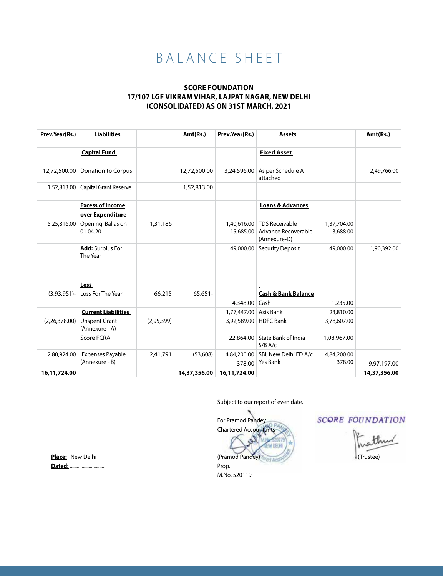# B A L A N C E S H E E T

#### **SCORE FOUNDATION 17/107 LGF Vikram Vihar, Lajpat Nagar, New Delhi (Consolidated) As On 31st March, 2021**

| Prev.Year(Rs.) | <b>Liabilities</b>                     |                          | Amt(Rs.)     | Prev.Year(Rs.)        | <b>Assets</b>                           |             | Amt(Rs.)     |
|----------------|----------------------------------------|--------------------------|--------------|-----------------------|-----------------------------------------|-------------|--------------|
|                |                                        |                          |              |                       |                                         |             |              |
|                | <b>Capital Fund</b>                    |                          |              |                       | <b>Fixed Asset</b>                      |             |              |
|                |                                        |                          |              |                       |                                         |             |              |
| 12,72,500.00   | Donation to Corpus                     |                          | 12,72,500.00 | 3,24,596.00           | As per Schedule A<br>attached           |             | 2,49,766.00  |
| 1,52,813.00    | Capital Grant Reserve                  |                          | 1,52,813.00  |                       |                                         |             |              |
|                |                                        |                          |              |                       |                                         |             |              |
|                | <b>Excess of Income</b>                |                          |              |                       | <b>Loans &amp; Advances</b>             |             |              |
|                | over Expenditure                       |                          |              |                       |                                         |             |              |
| 5,25,816.00    | Opening Bal as on                      | 1,31,186                 |              | 1,40,616.00           | <b>TDS Receivable</b>                   | 1,37,704.00 |              |
|                | 01.04.20                               |                          |              | 15,685.00             | Advance Recoverable                     | 3,688.00    |              |
|                |                                        |                          |              |                       | (Annexure-D)                            |             |              |
|                | Add: Surplus For<br>The Year           | $\overline{\phantom{0}}$ |              | 49,000.00             | <b>Security Deposit</b>                 | 49,000.00   | 1,90,392.00  |
|                |                                        |                          |              |                       |                                         |             |              |
|                |                                        |                          |              |                       |                                         |             |              |
|                |                                        |                          |              |                       |                                         |             |              |
|                | <b>Less</b>                            |                          |              |                       |                                         |             |              |
| $(3,93,951)$ - | Loss For The Year                      | 66,215                   | $65,651-$    |                       | <b>Cash &amp; Bank Balance</b>          |             |              |
|                |                                        |                          |              | 4,348.00              | Cash                                    | 1,235.00    |              |
|                | <b>Current Liabilities</b>             |                          |              | 1,77,447.00 Axis Bank |                                         | 23,810.00   |              |
| (2,26,378.00)  | <b>Unspent Grant</b><br>(Annexure - A) | (2,95,399)               |              | 3,92,589.00           | <b>HDFC</b> Bank                        | 3,78,607.00 |              |
|                | <b>Score FCRA</b>                      |                          |              | 22,864.00             | <b>State Bank of India</b><br>$S/B$ A/c | 1,08,967.00 |              |
| 2,80,924.00    | <b>Expenses Payable</b>                | 2,41,791                 | (53,608)     | 4,84,200.00           | SBI, New Delhi FD A/c                   | 4,84,200.00 |              |
|                | (Annexure - B)                         |                          |              | 378.00                | <b>Yes Bank</b>                         | 378.00      | 9,97,197.00  |
| 16,11,724.00   |                                        |                          | 14,37,356.00 | 16,11,724.00          |                                         |             | 14,37,356.00 |

Subject to our report of even date.

For Pramod Pandey Chartered Accountants (Pramod Pandey) Prop. M.No. 520119

**SCORE FOUNDATION** 

(Trustee)

 **Place:** New Delhi  **Dated:** ..............................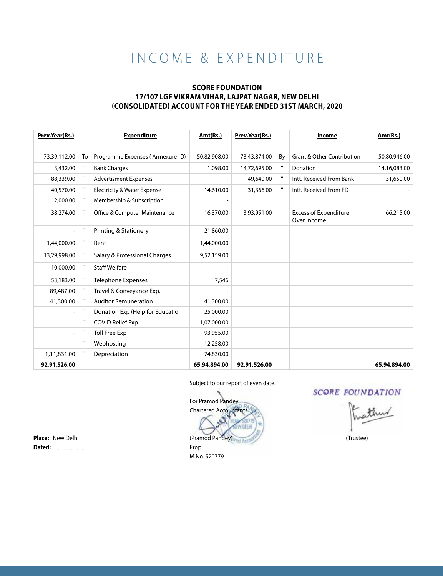# IN COME & EXPENDITURE

#### **SCORE FOUNDATION 17/107 LGF Vikram Vihar, Lajpat Nagar, New Delhi (Consolidated) Account For The Year Ended 31st March, 2020**

| Prev.Year(Rs.) |              | <b>Expenditure</b>                     | Amt(Rs.)     | Prev.Year(Rs.) |    | Income                                      | Amt(Rs.)     |
|----------------|--------------|----------------------------------------|--------------|----------------|----|---------------------------------------------|--------------|
|                |              |                                        |              |                |    |                                             |              |
| 73,39,112.00   | To           | Programme Expenses (Armexure-D)        | 50,82,908.00 | 73,43,874.00   | By | <b>Grant &amp; Other Contribution</b>       | 50,80,946.00 |
| 3,432.00       | $\mathbf H$  | <b>Bank Charges</b>                    | 1,098.00     | 14,72,695.00   |    | Donation                                    | 14,16,083.00 |
| 88,339.00      | $\mathbf{H}$ | <b>Advertisment Expenses</b>           |              | 49,640.00      |    | Intt. Received From Bank                    | 31,650.00    |
| 40,570.00      | $\mathbf{H}$ | <b>Electricity &amp; Water Expense</b> | 14,610.00    | 31,366.00      | П. | Intt. Received From FD                      |              |
| 2,000.00       | п            | Membership & Subscription              |              |                |    |                                             |              |
| 38,274.00      | $\mathbf H$  | Office & Computer Maintenance          | 16,370.00    | 3,93,951.00    |    | <b>Excess of Expenditure</b><br>Over Income | 66,215.00    |
|                | $\mathbf H$  | Printing & Stationery                  | 21,860.00    |                |    |                                             |              |
| 1,44,000.00    | $\mathbf H$  | Rent                                   | 1,44,000.00  |                |    |                                             |              |
| 13,29,998.00   | $\mathbf{H}$ | Salary & Professional Charges          | 9,52,159.00  |                |    |                                             |              |
| 10,000.00      | $\mathbf H$  | <b>Staff Welfare</b>                   |              |                |    |                                             |              |
| 53,183.00      | $\mathbf H$  | <b>Telephone Expenses</b>              | 7,546        |                |    |                                             |              |
| 89,487.00      | $\mathbf{H}$ | Travel & Conveyance Exp.               |              |                |    |                                             |              |
| 41,300.00      | $\mathbf{H}$ | <b>Auditor Remuneration</b>            | 41,300.00    |                |    |                                             |              |
|                | $\mathbf H$  | Donation Exp (Help for Educatio        | 25,000.00    |                |    |                                             |              |
|                | п            | COVID Relief Exp.                      | 1,07,000.00  |                |    |                                             |              |
|                | $\mathbf{H}$ | <b>Toll Free Exp</b>                   | 93,955.00    |                |    |                                             |              |
|                | $\mathbf H$  | Webhosting                             | 12,258.00    |                |    |                                             |              |
| 1,11,831.00    | п            | Depreciation                           | 74,830.00    |                |    |                                             |              |
| 92,91,526.00   |              |                                        | 65,94,894.00 | 92,91,526.00   |    |                                             | 65,94,894.00 |

#### Subject to our report of even date.

 For Pramod Pandey Chartered Accountants **Place:** New Delhi (Pramod Pandey) (Trustee)

**SCORE FOUNDATION** 

**Dated:** .............................. Prop.

M.No. 520779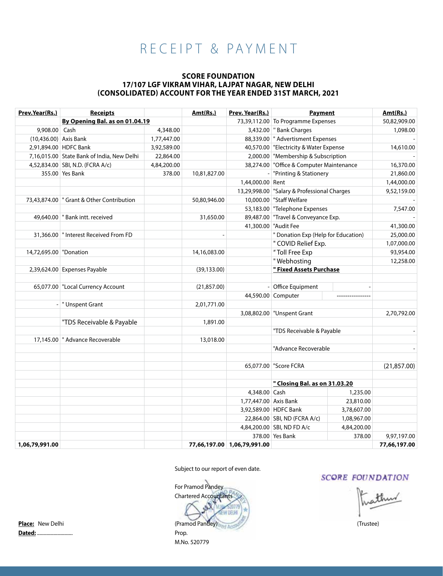# RECEIPT & PAYMENT

#### **SCORE FOUNDATION 17/107 LGF Vikram Vihar, Lajpat Nagar, New Delhi (Consolidated) Account For The Year Ended 31st March, 2021**

| Prev.Year(Rs.)          | <b>Receipts</b>                             |             | Amt(Rs.)     | Prev. Year(Rs.)             | <b>Payment</b>                              |             | Amt(Rs.)     |
|-------------------------|---------------------------------------------|-------------|--------------|-----------------------------|---------------------------------------------|-------------|--------------|
|                         | By Opening Bal. as on 01.04.19              |             |              |                             | 73,39,112.00 To Programme Expenses          |             | 50,82,909.00 |
| 9,908.00 Cash           |                                             | 4,348.00    |              |                             | 3,432.00 F Bank Charges                     |             | 1,098.00     |
| $(10.436.00)$ Axis Bank |                                             | 1,77,447.00 |              |                             | 88,339.00   " Advertisment Expenses         |             |              |
|                         | 2,91,894.00 HDFC Bank                       | 3,92,589.00 |              |                             | 40,570.00 Electricity & Water Expense       |             | 14,610.00    |
|                         | 7,16,015.00 State Bank of India, New Delhi  | 22,864.00   |              |                             | 2,000.00 Membership & Subscription          |             |              |
|                         | 4,52,834.00 SBI, N.D. (FCRA A/c)            | 4,84,200.00 |              |                             | 38,274.00 "Office & Computer Maintenance    |             | 16,370.00    |
|                         | 355.00 Yes Bank                             | 378.00      | 10,81,827.00 |                             | - "Printing & Stationery                    |             | 21,860.00    |
|                         |                                             |             |              | 1,44,000.00 Rent            |                                             |             | 1,44,000.00  |
|                         |                                             |             |              |                             | 13,29,998.00 "Salary & Professional Charges |             | 9,52,159.00  |
|                         | 73,43,874.00   " Grant & Other Contribution |             | 50,80,946.00 |                             | 10,000.00   "Staff Welfare                  |             |              |
|                         |                                             |             |              |                             | 53,183.00 Telephone Expenses                |             | 7,547.00     |
|                         | 49,640.00   " Bank intt. received           |             | 31,650.00    |                             | 89,487.00 Travel & Conveyance Exp.          |             |              |
|                         |                                             |             |              |                             | 41,300.00 "Audit Fee                        |             | 41,300.00    |
|                         | 31,366.00   " Interest Received From FD     |             |              |                             | " Donation Exp (Help for Education)         |             | 25,000.00    |
|                         |                                             |             |              |                             | " COVID Relief Exp.                         |             | 1,07,000.00  |
| 14,72,695.00 Donation   |                                             |             | 14,16,083.00 |                             | "Toll Free Exp                              |             | 93,954.00    |
|                         |                                             |             |              |                             | "Webhosting                                 |             | 12,258.00    |
|                         | 2,39,624.00 Expenses Payable                |             | (39, 133.00) |                             | " Fixed Assets Purchase                     |             |              |
|                         |                                             |             |              |                             |                                             |             |              |
|                         | 65,077.00 "Local Currency Account           |             | (21, 857.00) |                             | - Office Equipment                          |             |              |
|                         |                                             |             |              |                             | 44,590.00 Computer                          |             |              |
|                         | - Unspent Grant                             |             | 2,01,771.00  |                             |                                             |             |              |
|                         |                                             |             |              |                             | 3,08,802.00   "Unspent Grant                |             | 2,70,792.00  |
|                         | "TDS Receivable & Payable                   |             | 1,891.00     |                             |                                             |             |              |
|                         |                                             |             |              |                             | "TDS Receivable & Payable                   |             |              |
|                         | 17,145.00 T Advance Recoverable             |             | 13,018.00    |                             |                                             |             |              |
|                         |                                             |             |              |                             | "Advance Recoverable                        |             |              |
|                         |                                             |             |              |                             |                                             |             |              |
|                         |                                             |             |              |                             | 65,077.00 Score FCRA                        |             | (21, 857.00) |
|                         |                                             |             |              |                             |                                             |             |              |
|                         |                                             |             |              |                             | " Closing Bal. as on 31.03.20               |             |              |
|                         |                                             |             |              | 4,348.00 Cash               |                                             | 1,235.00    |              |
|                         |                                             |             |              | 1,77,447.00 Axis Bank       |                                             | 23,810.00   |              |
|                         |                                             |             |              |                             | 3,92,589.00 HDFC Bank                       | 3,78,607.00 |              |
|                         |                                             |             |              |                             | 22,864.00 SBI, ND (FCRA A/c)                | 1,08,967.00 |              |
|                         |                                             |             |              |                             | 4,84,200.00 SBI, ND FD A/c                  | 4,84,200.00 |              |
|                         |                                             |             |              |                             | 378.00 Yes Bank                             | 378.00      | 9,97,197.00  |
| 1,06,79,991.00          |                                             |             |              | 77,66,197.00 1,06,79,991.00 |                                             |             | 77,66,197.00 |

Subject to our report of even date.

 For Pramod Pandey Chartered Accountants **NEFE** Place: New Delhi (Trustee) (Trustee) M.No. 520779

#### **SCORE FOUNDATION**

**Dated:** .............................. Prop.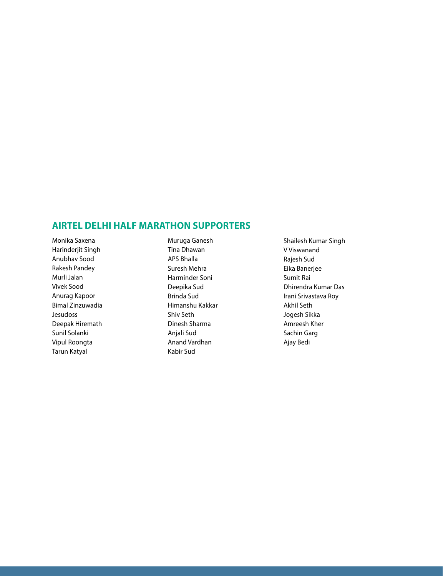## **AIRTEL DELHI HALF MARATHON SUPPORTERS**

Monika Saxena Harinderjit Singh Anubhav Sood Rakesh Pandey Murli Jalan Vivek Sood Anurag Kapoor Bimal Zinzuwadia Jesudoss Deepak Hiremath Sunil Solanki Vipul Roongta Tarun Katyal

Muruga Ganesh Tina Dhawan APS Bhalla Suresh Mehra Harminder Soni Deepika Sud Brinda Sud Himanshu Kakkar Shiv Seth Dinesh Sharma Anjali Sud Anand Vardhan Kabir Sud

Shailesh Kumar Singh V Viswanand Rajesh Sud Eika Banerjee Sumit Rai Dhirendra Kumar Das Irani Srivastava Roy Akhil Seth Jogesh Sikka Amreesh Kher Sachin Garg Ajay Bedi